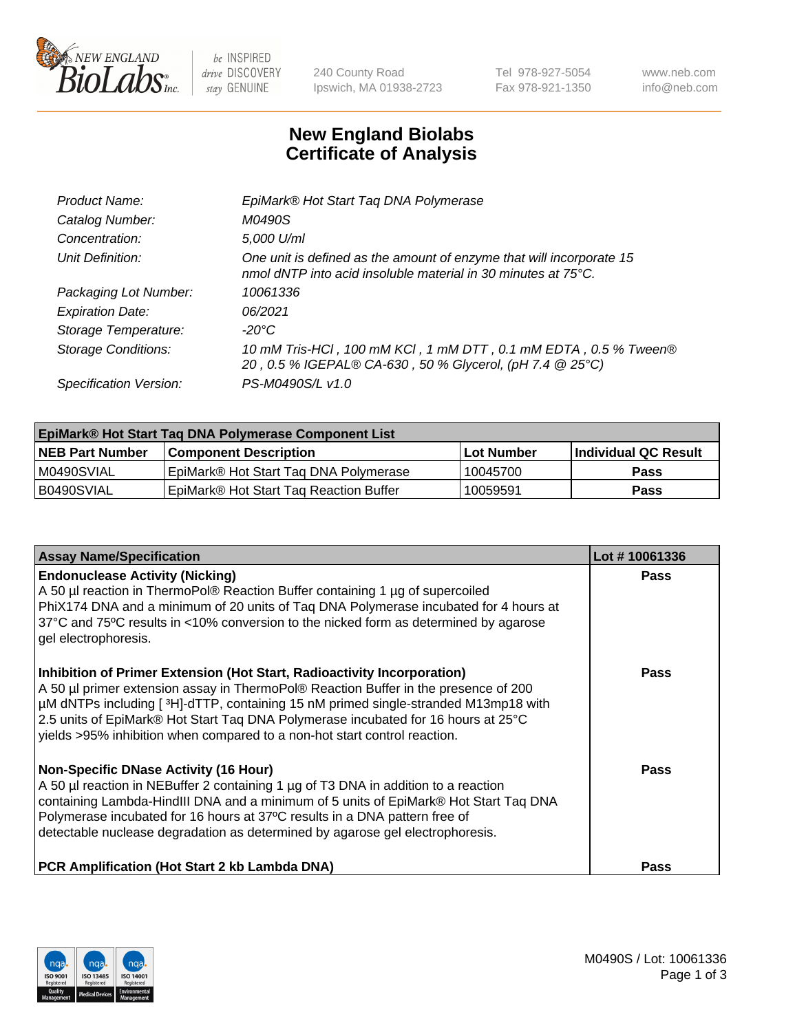

 $be$  INSPIRED drive DISCOVERY stay GENUINE

240 County Road Ipswich, MA 01938-2723 Tel 978-927-5054 Fax 978-921-1350 www.neb.com info@neb.com

## **New England Biolabs Certificate of Analysis**

| EpiMark® Hot Start Tag DNA Polymerase                                                                                                           |
|-------------------------------------------------------------------------------------------------------------------------------------------------|
| M0490S                                                                                                                                          |
| 5,000 U/ml                                                                                                                                      |
| One unit is defined as the amount of enzyme that will incorporate 15<br>nmol dNTP into acid insoluble material in 30 minutes at $75^{\circ}$ C. |
| 10061336                                                                                                                                        |
| 06/2021                                                                                                                                         |
| $-20^{\circ}$ C                                                                                                                                 |
| 10 mM Tris-HCl, 100 mM KCl, 1 mM DTT, 0.1 mM EDTA, 0.5 % Tween®<br>20, 0.5 % IGEPAL® CA-630, 50 % Glycerol, (pH 7.4 @ 25°C)                     |
| PS-M0490S/L v1.0                                                                                                                                |
|                                                                                                                                                 |

| <b>EpiMark® Hot Start Taq DNA Polymerase Component List</b> |                                                    |              |                      |  |  |
|-------------------------------------------------------------|----------------------------------------------------|--------------|----------------------|--|--|
| <b>NEB Part Number</b>                                      | <b>Component Description</b>                       | l Lot Number | Individual QC Result |  |  |
| IM0490SVIAL                                                 | EpiMark® Hot Start Tag DNA Polymerase              | 10045700     | <b>Pass</b>          |  |  |
| B0490SVIAL                                                  | EpiMark <sup>®</sup> Hot Start Tag Reaction Buffer | 10059591     | <b>Pass</b>          |  |  |

| <b>Assay Name/Specification</b>                                                                                                                                                                                                                                                                                                                                                                                        | Lot #10061336 |
|------------------------------------------------------------------------------------------------------------------------------------------------------------------------------------------------------------------------------------------------------------------------------------------------------------------------------------------------------------------------------------------------------------------------|---------------|
| <b>Endonuclease Activity (Nicking)</b><br>A 50 µl reaction in ThermoPol® Reaction Buffer containing 1 µg of supercoiled<br>PhiX174 DNA and a minimum of 20 units of Tag DNA Polymerase incubated for 4 hours at<br>37°C and 75°C results in <10% conversion to the nicked form as determined by agarose<br>gel electrophoresis.                                                                                        | Pass          |
| Inhibition of Primer Extension (Hot Start, Radioactivity Incorporation)<br>A 50 µl primer extension assay in ThermoPol® Reaction Buffer in the presence of 200<br>µM dNTPs including [3H]-dTTP, containing 15 nM primed single-stranded M13mp18 with<br>2.5 units of EpiMark® Hot Start Taq DNA Polymerase incubated for 16 hours at 25°C<br>yields >95% inhibition when compared to a non-hot start control reaction. | Pass          |
| <b>Non-Specific DNase Activity (16 Hour)</b><br>A 50 µl reaction in NEBuffer 2 containing 1 µg of T3 DNA in addition to a reaction<br>containing Lambda-HindIII DNA and a minimum of 5 units of EpiMark® Hot Start Taq DNA<br>Polymerase incubated for 16 hours at 37°C results in a DNA pattern free of<br>detectable nuclease degradation as determined by agarose gel electrophoresis.                              | Pass          |
| <b>PCR Amplification (Hot Start 2 kb Lambda DNA)</b>                                                                                                                                                                                                                                                                                                                                                                   | Pass          |

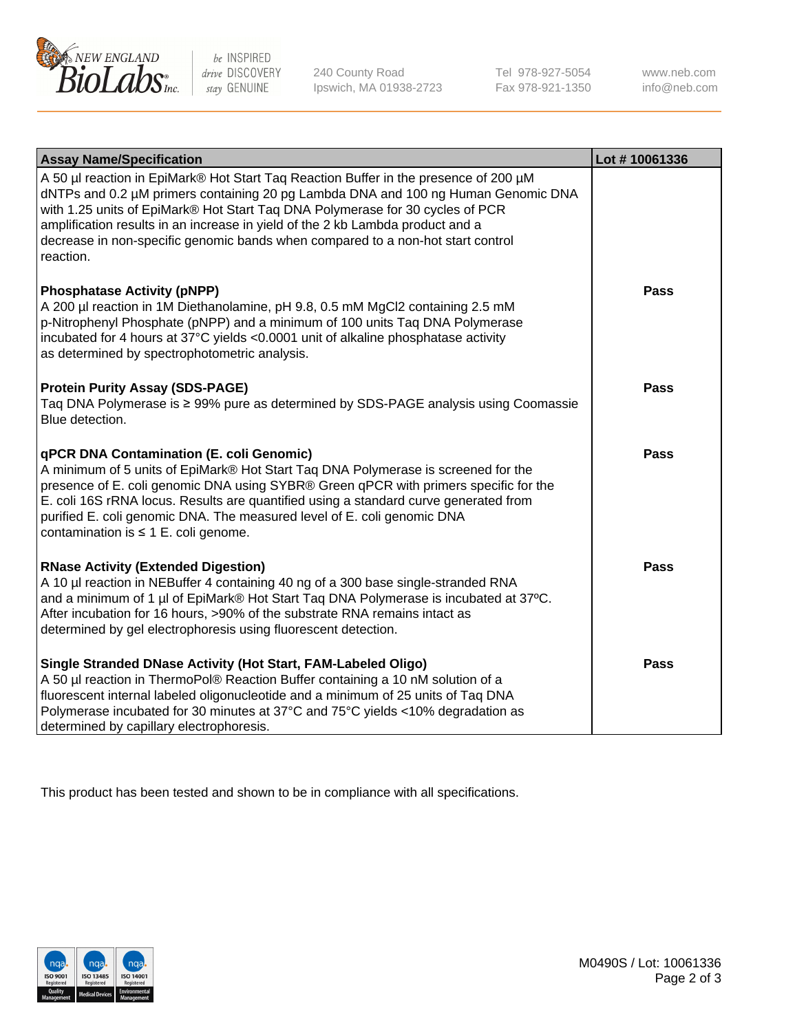

 $be$  INSPIRED drive DISCOVERY stay GENUINE

240 County Road Ipswich, MA 01938-2723 Tel 978-927-5054 Fax 978-921-1350 www.neb.com info@neb.com

| <b>Assay Name/Specification</b>                                                                                                                                                                                                                                                                                                                                                                                                              | Lot #10061336 |
|----------------------------------------------------------------------------------------------------------------------------------------------------------------------------------------------------------------------------------------------------------------------------------------------------------------------------------------------------------------------------------------------------------------------------------------------|---------------|
| A 50 µl reaction in EpiMark® Hot Start Taq Reaction Buffer in the presence of 200 µM<br>dNTPs and 0.2 µM primers containing 20 pg Lambda DNA and 100 ng Human Genomic DNA<br>with 1.25 units of EpiMark® Hot Start Taq DNA Polymerase for 30 cycles of PCR<br>amplification results in an increase in yield of the 2 kb Lambda product and a<br>decrease in non-specific genomic bands when compared to a non-hot start control<br>reaction. |               |
| <b>Phosphatase Activity (pNPP)</b><br>A 200 µl reaction in 1M Diethanolamine, pH 9.8, 0.5 mM MgCl2 containing 2.5 mM<br>p-Nitrophenyl Phosphate (pNPP) and a minimum of 100 units Taq DNA Polymerase<br>incubated for 4 hours at 37°C yields <0.0001 unit of alkaline phosphatase activity<br>as determined by spectrophotometric analysis.                                                                                                  | <b>Pass</b>   |
| <b>Protein Purity Assay (SDS-PAGE)</b><br>Taq DNA Polymerase is ≥ 99% pure as determined by SDS-PAGE analysis using Coomassie<br>Blue detection.                                                                                                                                                                                                                                                                                             | <b>Pass</b>   |
| qPCR DNA Contamination (E. coli Genomic)<br>A minimum of 5 units of EpiMark® Hot Start Taq DNA Polymerase is screened for the<br>presence of E. coli genomic DNA using SYBR® Green qPCR with primers specific for the<br>E. coli 16S rRNA locus. Results are quantified using a standard curve generated from<br>purified E. coli genomic DNA. The measured level of E. coli genomic DNA<br>contamination is $\leq 1$ E. coli genome.        | <b>Pass</b>   |
| <b>RNase Activity (Extended Digestion)</b><br>A 10 µl reaction in NEBuffer 4 containing 40 ng of a 300 base single-stranded RNA<br>and a minimum of 1 µl of EpiMark® Hot Start Taq DNA Polymerase is incubated at 37°C.<br>After incubation for 16 hours, >90% of the substrate RNA remains intact as<br>determined by gel electrophoresis using fluorescent detection.                                                                      | <b>Pass</b>   |
| Single Stranded DNase Activity (Hot Start, FAM-Labeled Oligo)<br>A 50 µl reaction in ThermoPol® Reaction Buffer containing a 10 nM solution of a<br>fluorescent internal labeled oligonucleotide and a minimum of 25 units of Taq DNA<br>Polymerase incubated for 30 minutes at 37°C and 75°C yields <10% degradation as<br>determined by capillary electrophoresis.                                                                         | <b>Pass</b>   |

This product has been tested and shown to be in compliance with all specifications.